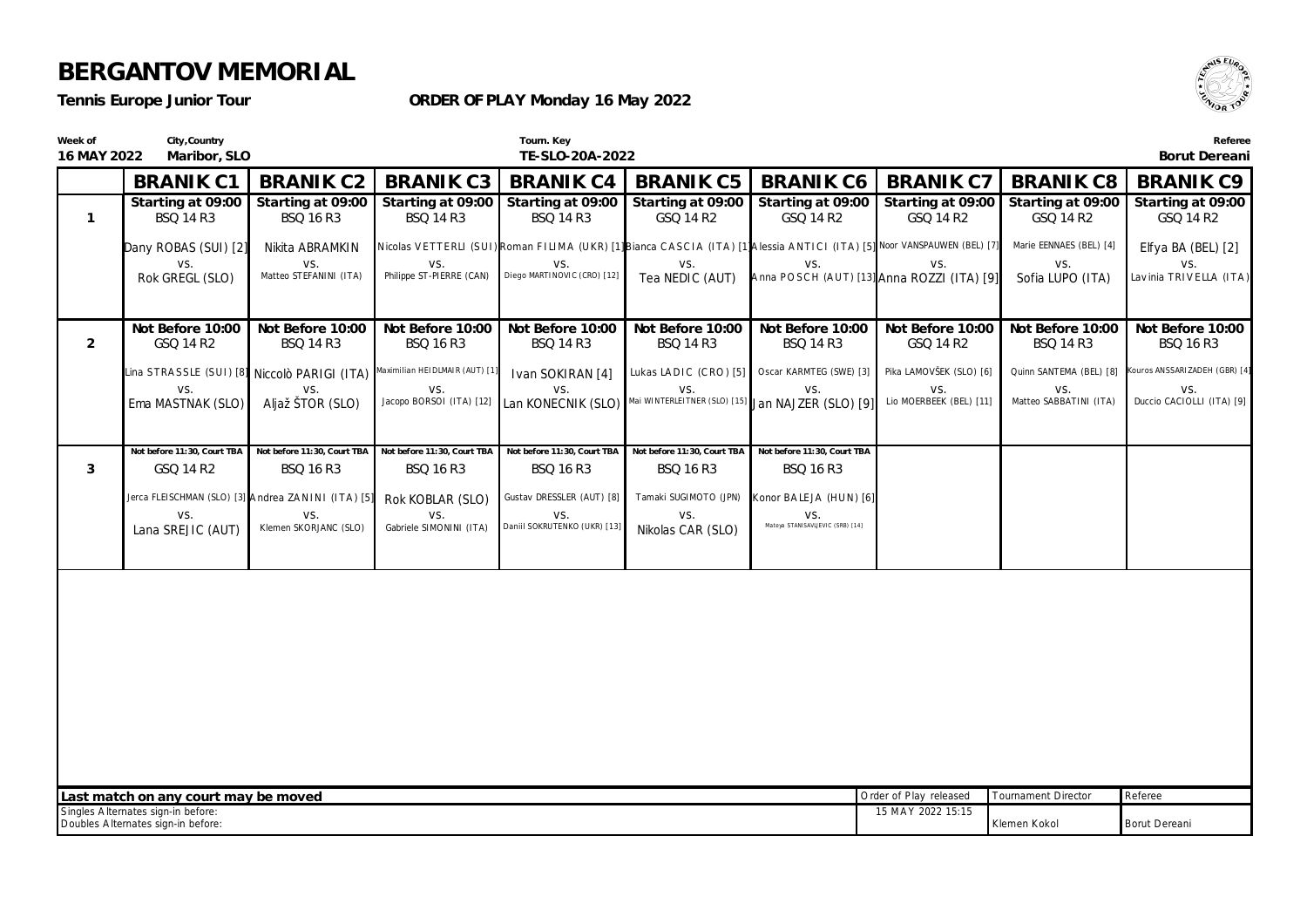*Tennis Europe Junior Tour*

**ORDER OF PLAY Monday 16 May 2022**



| Week of<br>16 MAY 2022 | City, Country<br>Maribor, SLO                                                                                                  |                                                    |                                                                             | Tourn. Key<br>TE-SLO-20A-2022                                                                                            |                                                          |                                                 |                                                   |                                                  | Referee<br>Borut Dereani             |
|------------------------|--------------------------------------------------------------------------------------------------------------------------------|----------------------------------------------------|-----------------------------------------------------------------------------|--------------------------------------------------------------------------------------------------------------------------|----------------------------------------------------------|-------------------------------------------------|---------------------------------------------------|--------------------------------------------------|--------------------------------------|
|                        | <b>BRANIK C1</b>                                                                                                               | <b>BRANIK C2</b>                                   | <b>BRANIK C3</b>                                                            | <b>BRANIK C4</b>                                                                                                         | <b>BRANIK C5</b>                                         | <b>BRANIK C6</b>                                | <b>BRANIK C7</b>                                  | <b>BRANIK C8</b>                                 | <b>BRANIK C9</b>                     |
| $\mathbf{1}$           | Starting at 09:00<br><b>BSQ 14 R3</b>                                                                                          | Starting at 09:00<br><b>BSQ 16 R3</b>              | Starting at 09:00<br><b>BSQ 14 R3</b>                                       | Starting at 09:00<br><b>BSQ 14 R3</b>                                                                                    | Starting at 09:00<br>GSQ 14 R2                           | Starting at 09:00<br>GSQ 14 R2                  | GSQ 14 R2                                         | Starting at 09:00 Starting at 09:00<br>GSQ 14 R2 | Starting at 09:00<br>GSQ 14 R2       |
|                        | Dany ROBAS (SUI) [2]                                                                                                           | Nikita ABRAMKIN                                    |                                                                             | Nicolas VETTERLI (SUI) Roman FILIMA (UKR) [1] Bianca CASCIA (ITA) [1] Alessia ANTICI (ITA) [5] Noor VANSPAUWEN (BEL) [7] |                                                          |                                                 |                                                   | Marie EENNAES (BEL) [4]                          | Elfya BA (BEL) [2]                   |
|                        | VS.<br>Rok GREGL (SLO)                                                                                                         | VS.<br>Matteo STEFANINI (ITA)                      | VS.<br>Philippe ST-PIERRE (CAN)                                             | VS.<br>Diego MARTINOVIC (CRO) [12]                                                                                       | VS.<br>Tea NEDIC (AUT)                                   | VS.                                             | VS.<br>Anna POSCH (AUT) [13] Anna ROZZI (ITA) [9] | VS.<br>Sofia LUPO (ITA)                          | VS.<br>Lavinia TRIVELLA (ITA)        |
|                        |                                                                                                                                |                                                    |                                                                             |                                                                                                                          |                                                          |                                                 |                                                   |                                                  |                                      |
| $\overline{2}$         | Not Before 10:00<br>GSQ 14 R2                                                                                                  | Not Before 10:00<br><b>BSQ 14 R3</b>               | Not Before 10:00<br>BSQ 16 R3                                               | Not Before 10:00<br><b>BSQ 14 R3</b>                                                                                     | Not Before 10:00<br><b>BSQ 14 R3</b>                     | Not Before 10:00<br><b>BSQ 14 R3</b>            | Not Before 10:00<br>GSQ 14 R2                     | Not Before 10:00<br><b>BSQ 14 R3</b>             | Not Before 10:00<br><b>BSQ 16 R3</b> |
|                        | Lina STRASSLE (SUI) [8] Niccolò PARIGI (ITA)                                                                                   |                                                    | Maximilian HEIDLMAIR (AUT) [1]                                              | Ivan SOKIRAN [4]                                                                                                         | Lukas LADIC (CRO) [5]                                    |                                                 | Oscar KARMTEG (SWE) [3] Pika LAMOVŠEK (SLO) [6]   | Quinn SANTEMA (BEL) [8]                          | Kouros ANSSARIZADEH (GBR) [4]        |
|                        | VS.<br>Ema MASTNAK (SLO)                                                                                                       | VS.<br>Aljaž ŠTOR (SLO)                            | VS.<br>Jacopo BORSOI (ITA) [12]                                             | VS.<br>Lan KONECNIK (SLO)                                                                                                | VS.<br>Mai WINTERLEITNER (SLO) [15] Jan NAJZER (SLO) [9] | VS.                                             | VS.<br>Lio MOERBEEK (BEL) [11]                    | VS.<br>Matteo SABBATINI (ITA)                    | VS.<br>Duccio CACIOLLI (ITA) [9]     |
|                        |                                                                                                                                |                                                    |                                                                             |                                                                                                                          |                                                          |                                                 |                                                   |                                                  |                                      |
| 3                      | Not before 11:30, Court TBA<br>GSQ 14 R2                                                                                       | <b>BSQ 16 R3</b>                                   | Not before 11:30, Court TBA Not before 11:30, Court TBA<br><b>BSQ 16 R3</b> | Not before 11:30, Court TBA<br><b>BSQ 16 R3</b>                                                                          | Not before 11:30, Court TBA<br><b>BSQ 16 R3</b>          | Not before 11:30, Court TBA<br><b>BSQ 16 R3</b> |                                                   |                                                  |                                      |
|                        |                                                                                                                                | Jerca FLEISCHMAN (SLO) [3] Andrea ZANINI (ITA) [5] | Rok KOBLAR (SLO)                                                            | Gustav DRESSLER (AUT) [8]                                                                                                | Tamaki SUGIMOTO (JPN)                                    | Konor BALEJA (HUN) [6]                          |                                                   |                                                  |                                      |
|                        | VS.<br>Lana SREJIC (AUT)                                                                                                       | VS.<br>Klemen SKORJANC (SLO)                       | VS.<br>Gabriele SIMONINI (ITA)                                              | VS.<br>Daniil SOKRUTENKO (UKR) [13]                                                                                      | VS.<br>Nikolas CAR (SLO)                                 | VS.<br>Mateya STANISAVLJEVIC (SRB) [14]         |                                                   |                                                  |                                      |
|                        |                                                                                                                                |                                                    |                                                                             |                                                                                                                          |                                                          |                                                 |                                                   |                                                  |                                      |
|                        |                                                                                                                                |                                                    |                                                                             |                                                                                                                          |                                                          |                                                 |                                                   |                                                  |                                      |
|                        |                                                                                                                                |                                                    |                                                                             |                                                                                                                          |                                                          |                                                 |                                                   |                                                  |                                      |
|                        |                                                                                                                                |                                                    |                                                                             |                                                                                                                          |                                                          |                                                 |                                                   |                                                  |                                      |
|                        |                                                                                                                                |                                                    |                                                                             |                                                                                                                          |                                                          |                                                 |                                                   |                                                  |                                      |
|                        |                                                                                                                                |                                                    |                                                                             |                                                                                                                          |                                                          |                                                 |                                                   |                                                  |                                      |
|                        |                                                                                                                                |                                                    |                                                                             |                                                                                                                          |                                                          |                                                 |                                                   |                                                  |                                      |
|                        |                                                                                                                                |                                                    |                                                                             |                                                                                                                          |                                                          |                                                 |                                                   |                                                  |                                      |
|                        | Last match on any court may be moved                                                                                           |                                                    |                                                                             |                                                                                                                          |                                                          |                                                 | Order of Play released                            | <b>Tournament Director</b>                       | Referee                              |
|                        | Singles Alternates sign-in before:<br>15 MAY 2022 15:15<br>Doubles Alternates sign-in before:<br>Klemen Kokol<br>Borut Dereani |                                                    |                                                                             |                                                                                                                          |                                                          |                                                 |                                                   |                                                  |                                      |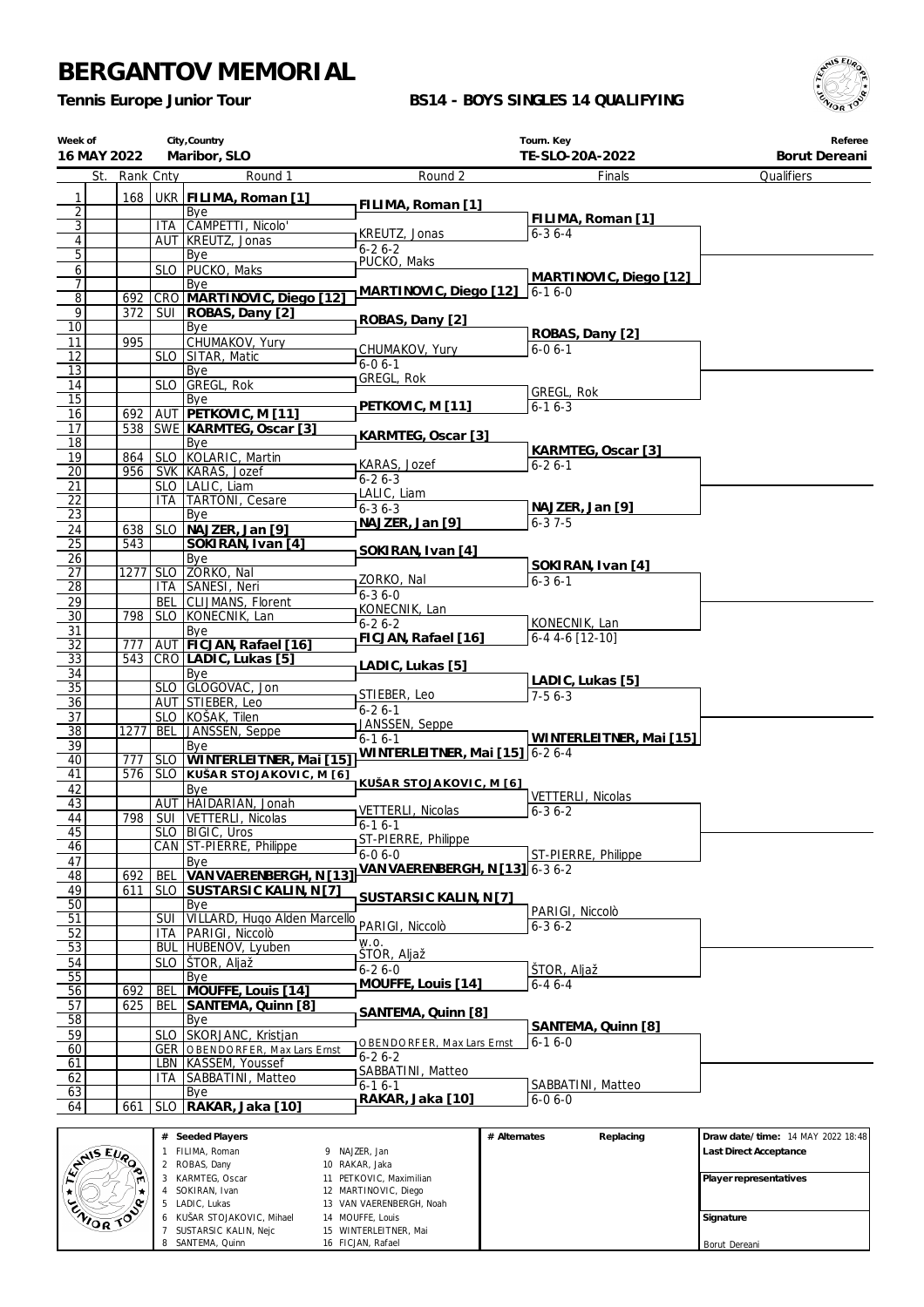*Tennis Europe Junior Tour*

#### **BS14 - BOYS SINGLES 14 QUALIFYING**



| Week of               | City, Country<br>Maribor, SLO<br>16 MAY 2022 |            |                                                         | Tourn. Key                             | Referee<br>Borut Dereani     |            |
|-----------------------|----------------------------------------------|------------|---------------------------------------------------------|----------------------------------------|------------------------------|------------|
|                       | St. Rank Cnty                                |            | Round 1                                                 | Round 2                                | TE-SLO-20A-2022<br>Finals    | Qualifiers |
|                       |                                              |            |                                                         |                                        |                              |            |
| 1<br>$\overline{2}$   | 168                                          |            | UKR FILIMA, Roman [1]<br>Bye                            | FILIMA, Roman [1]                      |                              |            |
| $\overline{3}$        |                                              | <b>ITA</b> | CAMPETTI, Nicolo'                                       |                                        | FILIMA, Roman [1]            |            |
| $\sqrt{4}$            |                                              |            | AUT   KREUTZ, Jonas                                     | KREUTZ, Jonas                          | $6 - 36 - 4$                 |            |
| $\overline{5}$        |                                              |            | Bye                                                     | $6 - 26 - 2$<br>PUCKO, Maks            |                              |            |
| $\overline{6}$        |                                              |            | SLO   PUCKO, Maks                                       | MARTINOVIC, Diego [12]                 |                              |            |
| $\overline{7}$        |                                              |            | Bye                                                     | MARTINOVIC, Diego [12]<br>$6 - 16 - 0$ |                              |            |
| $\overline{8}$        | 692                                          |            | CRO MARTINOVIC, Diego [12]                              |                                        |                              |            |
| 9<br>10               | 372                                          |            | SUI   ROBAS, Dany [2]<br>Bye                            | ROBAS, Dany [2]                        |                              |            |
| 11                    | 995                                          |            | CHUMAKOV, Yury                                          |                                        | ROBAS, Dany [2]              |            |
| 12                    |                                              |            | SLO SITAR, Matic                                        | CHUMAKOV, Yury                         | $6 - 06 - 1$                 |            |
| $\overline{13}$       |                                              |            | Bye                                                     | $6 - 06 - 1$                           |                              |            |
| 14                    |                                              | <b>SLO</b> | GREGL, Rok                                              | GREGL, Rok                             | GREGL, Rok                   |            |
| 15                    |                                              |            | Bye                                                     | PETKOVIC, M [11]                       | $6 - 16 - 3$                 |            |
| 16                    | 692                                          |            | AUT PETKOVIC, M [11]                                    |                                        |                              |            |
| $\overline{17}$       |                                              |            | 538   SWE   KARMTEG, Oscar [3]                          | KARMTEG, Oscar [3]                     |                              |            |
| $\overline{18}$       |                                              |            | Bye<br>SLO KOLARIC, Martin                              |                                        | KARMTEG, Oscar [3]           |            |
| 19<br>$\overline{20}$ | 864                                          |            | 956 SVK KARAS, Jozef                                    | KARAS, Jozef                           | $6 - 26 - 1$                 |            |
| 21                    |                                              |            | SLO   LALIC, Liam                                       | $6 - 26 - 3$                           |                              |            |
| 22                    |                                              | <b>ITA</b> | <b>TARTONI</b> , Cesare                                 | LALIC, Liam                            |                              |            |
| $\overline{23}$       |                                              |            | Bye                                                     | $6 - 36 - 3$                           | NAJZER, Jan [9]              |            |
| 24                    | 638                                          |            | SLO NAJZER, Jan [9]                                     | NAJZER, Jan [9]                        | $6 - 37 - 5$                 |            |
| $\overline{25}$       | 543                                          |            | SOKIRAN, Ivan [4]                                       | SOKIRAN, Ivan [4]                      |                              |            |
| 26                    |                                              |            | Bye                                                     |                                        | SOKIRAN, Ivan [4]            |            |
| $\overline{27}$       | 1277                                         | <b>SLO</b> | ZORKO, Nal                                              | ZORKO, Nal                             | $6 - 36 - 1$                 |            |
| $\overline{28}$       |                                              | ITA        | SANESI, Neri                                            | $6 - 36 - 0$                           |                              |            |
| 29<br>$\overline{30}$ | 798                                          | BEL        | CLIJMANS, Florent                                       | KONECNIK, Lan                          |                              |            |
| 31                    |                                              |            | SLO KONECNIK, Lan<br>Bye                                | $6 - 26 - 2$                           | KONECNIK, Lan                |            |
| $\overline{32}$       | 777                                          |            | AUT FICJAN, Rafael [16]                                 | FICJAN, Rafael [16]                    | 6-4 4-6 [12-10]              |            |
| $\overline{33}$       |                                              |            | 543 CRO LADIC, Lukas [5]                                |                                        |                              |            |
| 34                    |                                              |            | Bye                                                     | LADIC, Lukas [5]                       |                              |            |
| $\overline{35}$       |                                              |            | SLO GLOGOVAC, Jon                                       | STIEBER, Leo                           | LADIC, Lukas [5]<br>$7-56-3$ |            |
| $\overline{36}$       |                                              |            | AUT STIEBER, Leo                                        | $6 - 26 - 1$                           |                              |            |
| $\overline{37}$       |                                              |            | SLO KOŠAK, Tilen                                        | JANSSEN, Seppe                         |                              |            |
| $\overline{38}$       | 1277                                         | BEL        | JANSSEN, Seppe                                          | $6 - 1$ $6 - 1$                        | WINTERLEITNER, Mai [15]      |            |
| 39<br>40              | 777                                          |            | Bye<br>SLO WINTERLEITNER, Mai [15]                      | WINTERLEITNER, Mai [15] 6-2 6-4        |                              |            |
| 41                    |                                              |            | 576   SLO KUŠAR STOJAKOVIC, M [6]                       |                                        |                              |            |
| 42                    |                                              |            | Bye                                                     | KUŠAR STOJAKOVIC, M [6]                |                              |            |
| 43                    |                                              | AUT        | HAIDARIAN, Jonah                                        |                                        | VETTERLI, Nicolas            |            |
| 44                    |                                              |            | 798   SUI   VETTERLI, Nicolas                           | VETTERLI, Nicolas<br>$6 - 16 - 1$      | $6 - 36 - 2$                 |            |
| 45                    |                                              |            | SLO   BIGIC, Uros                                       | ST-PIERRE, Philippe                    |                              |            |
| 46                    |                                              |            | CAN ST-PIERRE, Philippe                                 | $6-06-0$                               | ST-PIERRE, Philippe          |            |
| 47                    |                                              |            | Bye                                                     | VAN VAERENBERGH, N [13] 6-3 6-2        |                              |            |
| 48                    | 692<br>611                                   | <b>BEL</b> | VAN VAERENBERGH, N [13]<br>SUSTARSIC KALIN, N [7]       |                                        |                              |            |
| 49<br>$\overline{50}$ |                                              | <b>SLO</b> | Bye                                                     | SUSTARSIC KALIN, N [7]                 |                              |            |
| 51                    |                                              | <b>SUI</b> | <b>VILLARD, Hugo Alden Marcello</b>                     |                                        | PARIGI, Niccolò              |            |
| 52                    |                                              | ITA        | PARIGI, Niccolò                                         | PARIGI, Niccolò                        | $6 - 36 - 2$                 |            |
| $\overline{53}$       |                                              |            | BUL HUBENOV, Lyuben                                     | W.O.                                   |                              |            |
| 54                    |                                              | <b>SLO</b> | STOR, Aljaž                                             | ŠTOR, Aljaž<br>$6 - 26 - 0$            |                              |            |
| 55                    |                                              |            | Bye                                                     | MOUFFE, Louis [14]                     | ŠTOR, Aljaž<br>$6 - 46 - 4$  |            |
| 56                    | 692                                          | <b>BEL</b> | MOUFFE, Louis [14]                                      |                                        |                              |            |
| 57                    | 625                                          | BEL        | SANTEMA, Quinn [8]                                      | SANTEMA, Quinn [8]                     |                              |            |
| 58                    |                                              |            | Bye                                                     |                                        | SANTEMA, Quinn [8]           |            |
| 59<br>60              |                                              | <b>SLO</b> | SKORJANC, Kristjan                                      | OBENDORFER, Max Lars Ernst             | $6 - 16 - 0$                 |            |
| 61                    |                                              |            | GER OBENDORFER, Max Lars Ernst<br>LBN   KASSEM, Youssef | $6 - 26 - 2$                           |                              |            |
| 62                    |                                              | ITA.       | SABBATINI, Matteo                                       | SABBATINI, Matteo                      |                              |            |
| 63                    |                                              |            | Bye                                                     | $6 - 16 - 1$                           | SABBATINI, Matteo            |            |
| 64                    | 661                                          |            | SLO   RAKAR, Jaka [10]                                  | RAKAR, Jaka [10]                       | $6 - 06 - 0$                 |            |
|                       |                                              |            |                                                         |                                        |                              |            |
|                       |                                              |            |                                                         |                                        |                              |            |

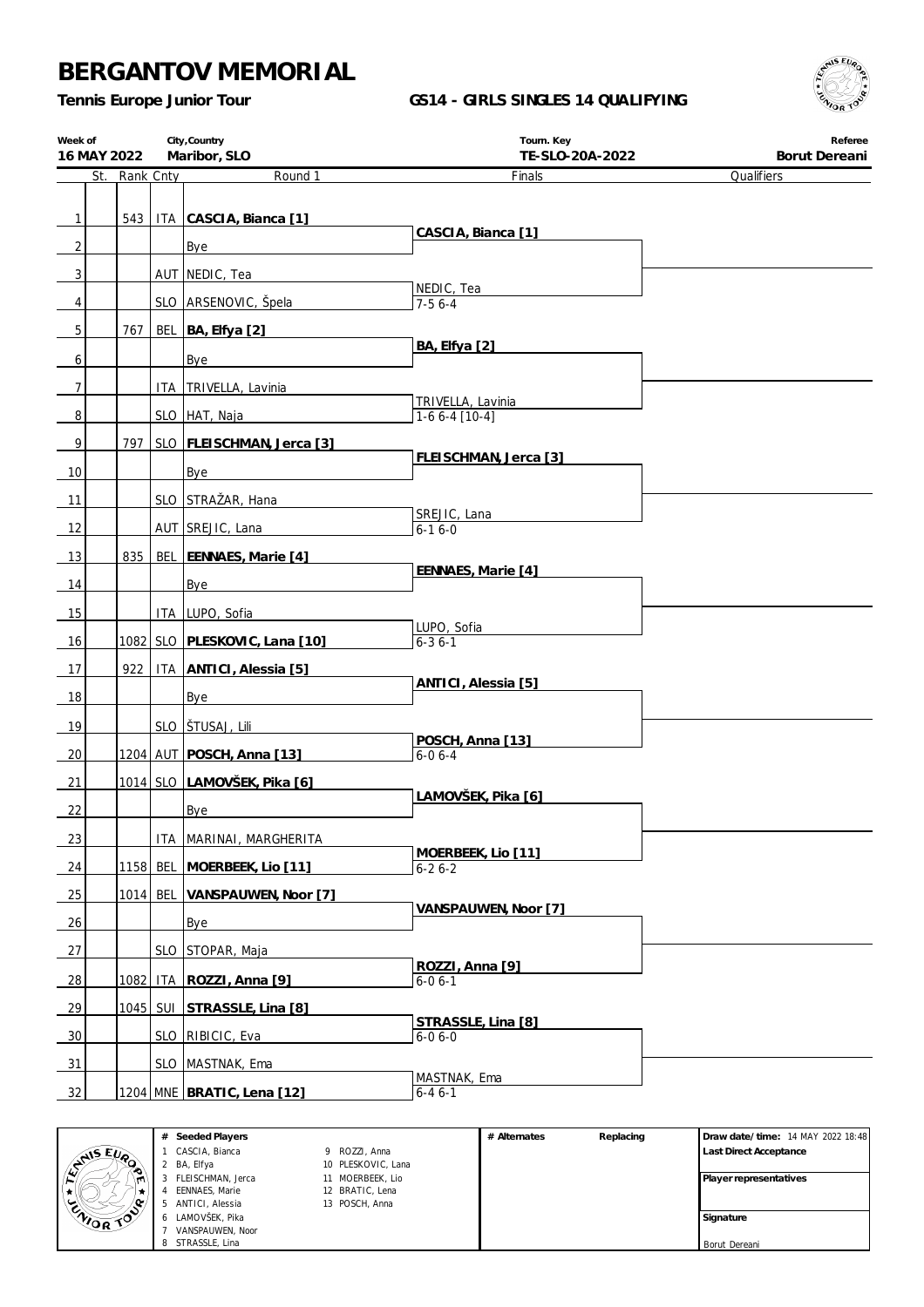*Tennis Europe Junior Tour*

### **GS14 - GIRLS SINGLES 14 QUALIFYING**



| Week of        | City, Country<br>Maribor, SLO<br>16 MAY 2022 |      |           |                                   | Tourn. Key<br>TE-SLO-20A-2022        | Referee<br>Borut Dereani |  |  |
|----------------|----------------------------------------------|------|-----------|-----------------------------------|--------------------------------------|--------------------------|--|--|
|                | St.                                          |      | Rank Cnty | Round 1                           | Finals                               | Qualifiers               |  |  |
|                |                                              |      |           |                                   |                                      |                          |  |  |
| $\mathbf{1}$   |                                              | 543  |           | ITA CASCIA, Bianca [1]            | CASCIA, Bianca [1]                   |                          |  |  |
| $\overline{2}$ |                                              |      |           | Bye                               |                                      |                          |  |  |
| $\overline{3}$ |                                              |      |           | AUT NEDIC, Tea                    | NEDIC, Tea                           |                          |  |  |
| 4              |                                              |      |           | SLO ARSENOVIC, Špela              | $7-56-4$                             |                          |  |  |
| 5 <sup>1</sup> |                                              | 767  |           | BEL BA, Elfya [2]                 |                                      |                          |  |  |
| 6              |                                              |      |           | Bye                               | BA, Elfya [2]                        |                          |  |  |
| 7 <sup>1</sup> |                                              |      |           | ITA   TRIVELLA, Lavinia           |                                      |                          |  |  |
| 8 <sup>°</sup> |                                              |      |           | SLO HAT, Naja                     | TRIVELLA, Lavinia<br>$1-66-4$ [10-4] |                          |  |  |
| $\mathbf{9}$   |                                              | 797  |           | SLO   FLEISCHMAN, Jerca [3]       |                                      |                          |  |  |
|                |                                              |      |           |                                   | FLEISCHMAN, Jerca [3]                |                          |  |  |
| 10             |                                              |      |           | Bye                               |                                      |                          |  |  |
| 11             |                                              |      |           | SLO STRAŽAR, Hana                 | SREJIC, Lana                         |                          |  |  |
| 12             |                                              |      |           | AUT SREJIC, Lana                  | $6-16-0$                             |                          |  |  |
| 13             |                                              | 835  |           | BEL EENNAES, Marie [4]            | EENNAES, Marie [4]                   |                          |  |  |
| 14             |                                              |      |           | Bye                               |                                      |                          |  |  |
| 15             |                                              |      |           | ITA LUPO, Sofia                   |                                      |                          |  |  |
| 16             |                                              |      |           | 1082 SLO PLESKOVIC, Lana [10]     | LUPO, Sofia<br>$6 - 36 - 1$          |                          |  |  |
| 17             |                                              | 922  |           | ITA ANTICI, Alessia [5]           |                                      |                          |  |  |
| 18             |                                              |      |           | Bye                               | ANTICI, Alessia [5]                  |                          |  |  |
| 19             |                                              |      |           | SLO STUSAJ, Lili                  |                                      |                          |  |  |
|                |                                              |      |           | 1204 AUT POSCH, Anna [13]         | POSCH, Anna [13]<br>$6 - 06 - 4$     |                          |  |  |
| 20             |                                              |      |           |                                   |                                      |                          |  |  |
| 21             |                                              |      |           | 1014 SLO LAMOVŠEK, Pika [6]       | LAMOVŠEK, Pika [6]                   |                          |  |  |
| 22             |                                              |      |           | <b>Bye</b>                        |                                      |                          |  |  |
| 23             |                                              |      |           | ITA   MARINAI, MARGHERITA         | MOERBEEK, Lio [11]                   |                          |  |  |
| 24             |                                              |      |           | 1158 BEL MOERBEEK, Lio [11]       | $6 - 26 - 2$                         |                          |  |  |
| 25             |                                              |      |           | 1014 BEL VANSPAUWEN, Noor [7]     | VANSPAUWEN, Noor [7]                 |                          |  |  |
| 26             |                                              |      |           | Bye                               |                                      |                          |  |  |
| 27             |                                              |      |           | SLO STOPAR, Maja                  |                                      |                          |  |  |
| 28             |                                              | 1082 |           | ITA ROZZI, Anna [9]               | ROZZI, Anna [9]<br>$6 - 06 - 1$      |                          |  |  |
| 29             |                                              |      |           | 1045 SUI STRASSLE, Lina [8]       |                                      |                          |  |  |
| 30             |                                              |      |           | SLO RIBICIC, Eva                  | STRASSLE, Lina [8]<br>$6 - 06 - 0$   |                          |  |  |
| 31             |                                              |      |           | SLO MASTNAK, Ema                  |                                      |                          |  |  |
|                |                                              |      |           |                                   | MASTNAK, Ema                         |                          |  |  |
| 32             |                                              |      |           | <u>1204 MNE BRATIC, Lena [12]</u> | $6 - 46 - 1$                         |                          |  |  |

|                                  | # | Seeded Players    |                    | # Alternates | Replacing | Draw date/time: 14 MAY 2022 18:48 |
|----------------------------------|---|-------------------|--------------------|--------------|-----------|-----------------------------------|
| <b>AIS EVO</b>                   |   | CASCIA, Bianca    | 9 ROZZI, Anna      |              |           | Last Direct Acceptance            |
| ◚                                |   | BA, Elfya         | 10 PLESKOVIC, Lana |              |           |                                   |
| m                                |   | FLEISCHMAN, Jerca | 11 MOERBEEK, Lio   |              |           | Player representatives            |
|                                  |   | EENNAES, Marie    | 12 BRATIC, Lena    |              |           |                                   |
| ۰۰                               |   | ANTICI, Alessia   | 13 POSCH, Anna     |              |           |                                   |
| <b>ENOR</b><br>$\curvearrowleft$ |   | 6 LAMOVŠEK, Pika  |                    |              |           | Signature                         |
|                                  |   | VANSPAUWEN, Noor  |                    |              |           |                                   |
|                                  |   | 8 STRASSLE, Lina  |                    |              |           | Borut Dereani                     |